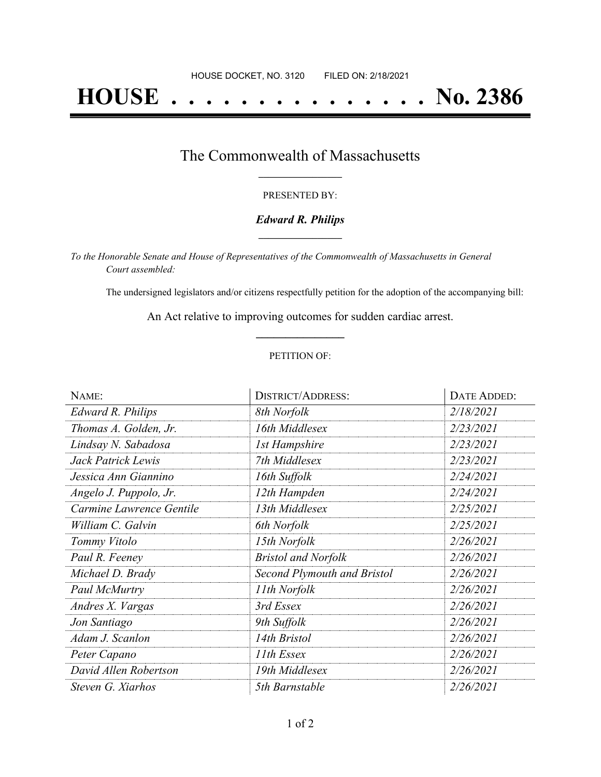# **HOUSE . . . . . . . . . . . . . . . No. 2386**

### The Commonwealth of Massachusetts **\_\_\_\_\_\_\_\_\_\_\_\_\_\_\_\_\_**

#### PRESENTED BY:

#### *Edward R. Philips* **\_\_\_\_\_\_\_\_\_\_\_\_\_\_\_\_\_**

*To the Honorable Senate and House of Representatives of the Commonwealth of Massachusetts in General Court assembled:*

The undersigned legislators and/or citizens respectfully petition for the adoption of the accompanying bill:

An Act relative to improving outcomes for sudden cardiac arrest. **\_\_\_\_\_\_\_\_\_\_\_\_\_\_\_**

#### PETITION OF:

| NAME:                    | <b>DISTRICT/ADDRESS:</b>    | DATE ADDED: |
|--------------------------|-----------------------------|-------------|
| <b>Edward R. Philips</b> | 8th Norfolk                 | 2/18/2021   |
| Thomas A. Golden, Jr.    | 16th Middlesex              | 2/23/2021   |
| Lindsay N. Sabadosa      | <b>1st Hampshire</b>        | 2/23/2021   |
| Jack Patrick Lewis       | 7th Middlesex               | 2/23/2021   |
| Jessica Ann Giannino     | 16th Suffolk                | 2/24/2021   |
| Angelo J. Puppolo, Jr.   | 12th Hampden                | 2/24/2021   |
| Carmine Lawrence Gentile | 13th Middlesex              | 2/25/2021   |
| William C. Galvin        | 6th Norfolk                 | 2/25/2021   |
| Tommy Vitolo             | 15th Norfolk                | 2/26/2021   |
| Paul R. Feeney           | <b>Bristol and Norfolk</b>  | 2/26/2021   |
| Michael D. Brady         | Second Plymouth and Bristol | 2/26/2021   |
| Paul McMurtry            | 11th Norfolk                | 2/26/2021   |
| Andres X. Vargas         | 3rd Essex                   | 2/26/2021   |
| Jon Santiago             | 9th Suffolk                 | 2/26/2021   |
| Adam J. Scanlon          | 14th Bristol                | 2/26/2021   |
| Peter Capano             | 11th Essex                  | 2/26/2021   |
| David Allen Robertson    | 19th Middlesex              | 2/26/2021   |
| Steven G. Xiarhos        | 5th Barnstable              | 2/26/2021   |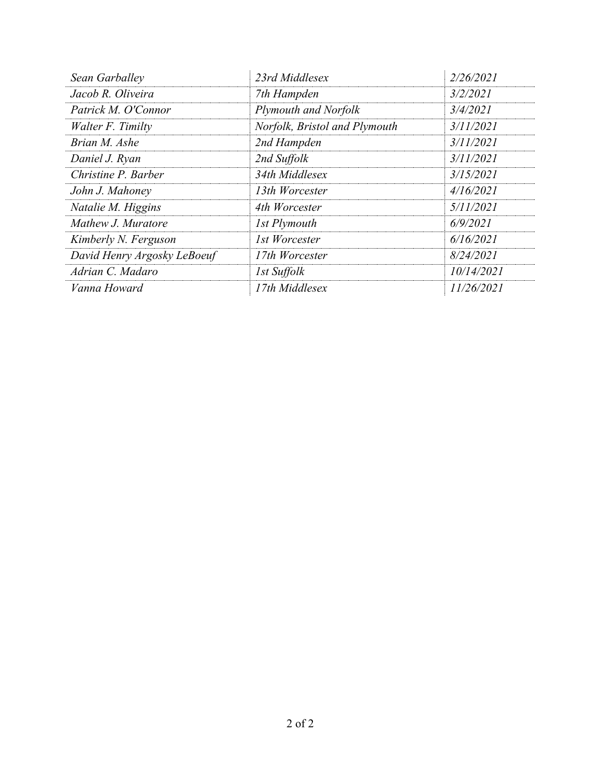| Sean Garballey              | 23rd Middlesex                | 2/26/2021  |
|-----------------------------|-------------------------------|------------|
| Jacob R. Oliveira           | 7th Hampden                   | 3/2/2021   |
| Patrick M. O'Connor         | Plymouth and Norfolk          | 3/4/2021   |
| Walter F. Timilty           | Norfolk, Bristol and Plymouth | 3/11/2021  |
| Brian M. Ashe               | 2nd Hampden                   | 3/11/2021  |
| Daniel J. Ryan              | 2nd Suffolk                   | 3/11/2021  |
| Christine P. Barber         | 34th Middlesex                | 3/15/2021  |
| John J. Mahoney             | 13th Worcester                | 4/16/2021  |
| Natalie M. Higgins          | 4th Worcester                 | 5/11/2021  |
| Mathew J. Muratore          | 1st Plymouth                  | 6/9/2021   |
| Kimberly N. Ferguson        | 1st Worcester                 | 6/16/2021  |
| David Henry Argosky LeBoeuf | 17th Worcester                | 8/24/2021  |
| Adrian C. Madaro            | 1st Suffolk                   | 10/14/2021 |
| Vanna Howard                | 17th Middlesex                | 11/26/2021 |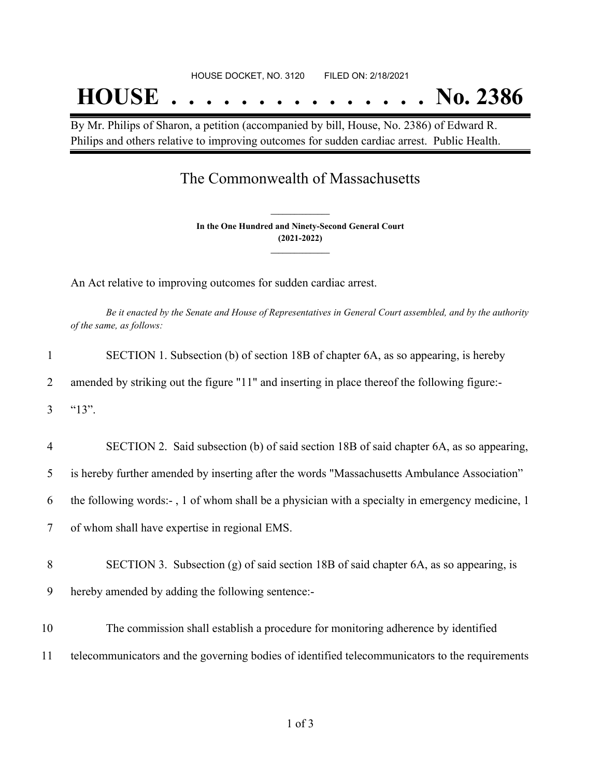# HOUSE DOCKET, NO. 3120 FILED ON: 2/18/2021 **HOUSE . . . . . . . . . . . . . . . No. 2386**

By Mr. Philips of Sharon, a petition (accompanied by bill, House, No. 2386) of Edward R. Philips and others relative to improving outcomes for sudden cardiac arrest. Public Health.

## The Commonwealth of Massachusetts

**In the One Hundred and Ninety-Second General Court (2021-2022) \_\_\_\_\_\_\_\_\_\_\_\_\_\_\_**

**\_\_\_\_\_\_\_\_\_\_\_\_\_\_\_**

An Act relative to improving outcomes for sudden cardiac arrest.

Be it enacted by the Senate and House of Representatives in General Court assembled, and by the authority *of the same, as follows:*

| 1              | SECTION 1. Subsection (b) of section 18B of chapter 6A, as so appearing, is hereby              |
|----------------|-------------------------------------------------------------------------------------------------|
| 2              | amended by striking out the figure "11" and inserting in place thereof the following figure:-   |
| 3              | " $13$ ".                                                                                       |
| $\overline{4}$ | SECTION 2. Said subsection (b) of said section 18B of said chapter 6A, as so appearing,         |
| 5              | is hereby further amended by inserting after the words "Massachusetts Ambulance Association"    |
| 6              | the following words:-, 1 of whom shall be a physician with a specialty in emergency medicine, 1 |
| $\tau$         | of whom shall have expertise in regional EMS.                                                   |
| 8              | SECTION 3. Subsection (g) of said section 18B of said chapter 6A, as so appearing, is           |
| 9              | hereby amended by adding the following sentence:-                                               |
| 10             | The commission shall establish a procedure for monitoring adherence by identified               |
| 11             | telecommunicators and the governing bodies of identified telecommunicators to the requirements  |
|                |                                                                                                 |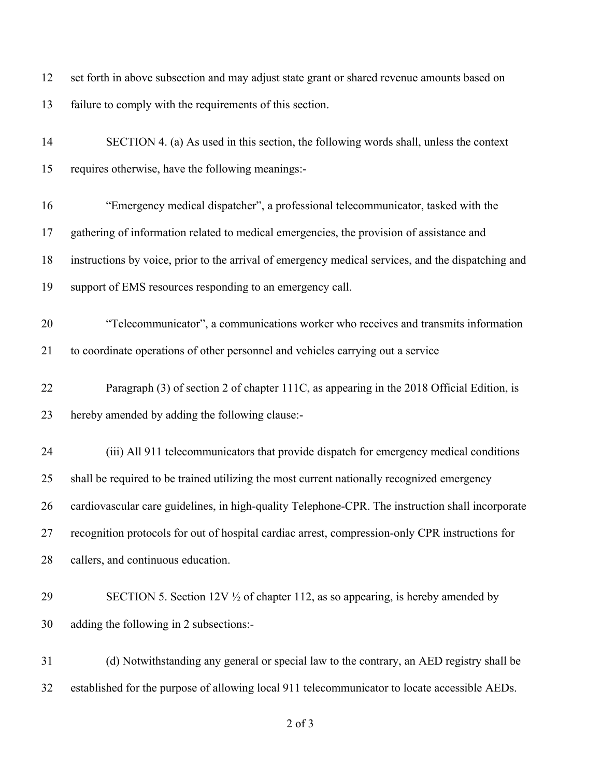| 12 | set forth in above subsection and may adjust state grant or shared revenue amounts based on        |
|----|----------------------------------------------------------------------------------------------------|
| 13 | failure to comply with the requirements of this section.                                           |
| 14 | SECTION 4. (a) As used in this section, the following words shall, unless the context              |
| 15 | requires otherwise, have the following meanings:-                                                  |
| 16 | "Emergency medical dispatcher", a professional telecommunicator, tasked with the                   |
| 17 | gathering of information related to medical emergencies, the provision of assistance and           |
| 18 | instructions by voice, prior to the arrival of emergency medical services, and the dispatching and |
| 19 | support of EMS resources responding to an emergency call.                                          |
| 20 | "Telecommunicator", a communications worker who receives and transmits information                 |
| 21 | to coordinate operations of other personnel and vehicles carrying out a service                    |
| 22 | Paragraph (3) of section 2 of chapter 111C, as appearing in the 2018 Official Edition, is          |
| 23 | hereby amended by adding the following clause:-                                                    |
| 24 | (iii) All 911 telecommunicators that provide dispatch for emergency medical conditions             |
| 25 | shall be required to be trained utilizing the most current nationally recognized emergency         |
| 26 | cardiovascular care guidelines, in high-quality Telephone-CPR. The instruction shall incorporate   |
| 27 | recognition protocols for out of hospital cardiac arrest, compression-only CPR instructions for    |
| 28 | callers, and continuous education.                                                                 |
| 29 | SECTION 5. Section $12V \frac{1}{2}$ of chapter 112, as so appearing, is hereby amended by         |
| 30 | adding the following in 2 subsections:-                                                            |
| 31 | (d) Notwithstanding any general or special law to the contrary, an AED registry shall be           |
| 32 | established for the purpose of allowing local 911 telecommunicator to locate accessible AEDs.      |

of 3